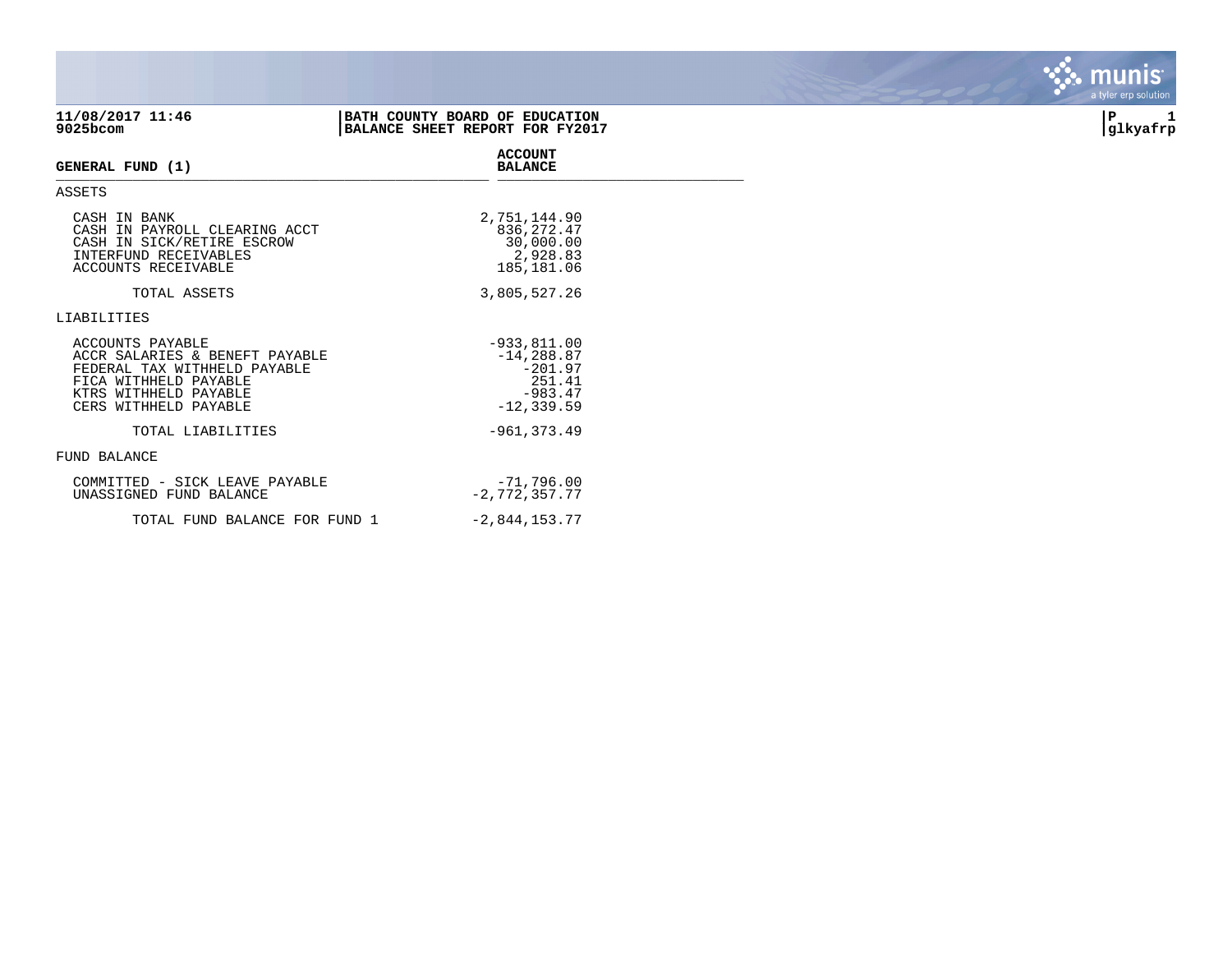| 11/08/2017 11:46<br>9025bcom                                                                                                                                  | BATH COUNTY BOARD OF EDUCATION<br>BALANCE SHEET REPORT FOR FY2017 |                                                                                      | P<br> glkyafrp |
|---------------------------------------------------------------------------------------------------------------------------------------------------------------|-------------------------------------------------------------------|--------------------------------------------------------------------------------------|----------------|
| GENERAL FUND (1)                                                                                                                                              |                                                                   | <b>ACCOUNT</b><br><b>BALANCE</b>                                                     |                |
| <b>ASSETS</b>                                                                                                                                                 |                                                                   |                                                                                      |                |
| CASH IN BANK<br>CASH IN PAYROLL CLEARING ACCT<br>CASH IN SICK/RETIRE ESCROW<br>INTERFUND RECEIVABLES<br>ACCOUNTS RECEIVABLE                                   |                                                                   | 2,751,144.90<br>836, 272.47<br>30,000.00<br>2,928.83<br>185,181.06                   |                |
| TOTAL ASSETS                                                                                                                                                  |                                                                   | 3,805,527.26                                                                         |                |
| LIABILITIES                                                                                                                                                   |                                                                   |                                                                                      |                |
| ACCOUNTS PAYABLE<br>ACCR SALARIES & BENEFT PAYABLE<br>FEDERAL TAX WITHHELD PAYABLE<br>FICA WITHHELD PAYABLE<br>KTRS WITHHELD PAYABLE<br>CERS WITHHELD PAYABLE |                                                                   | $-933, 811.00$<br>$-14, 288.87$<br>$-201.97$<br>251.41<br>$-983.47$<br>$-12, 339.59$ |                |
| TOTAL LIABILITIES                                                                                                                                             |                                                                   | $-961, 373.49$                                                                       |                |
| FUND BALANCE                                                                                                                                                  |                                                                   |                                                                                      |                |
| COMMITTED - SICK LEAVE PAYABLE<br>UNASSIGNED FUND BALANCE                                                                                                     |                                                                   | $-71,796.00$<br>$-2,772,357.77$                                                      |                |
| TOTAL FUND BALANCE FOR FUND 1                                                                                                                                 |                                                                   | $-2,844,153.77$                                                                      |                |

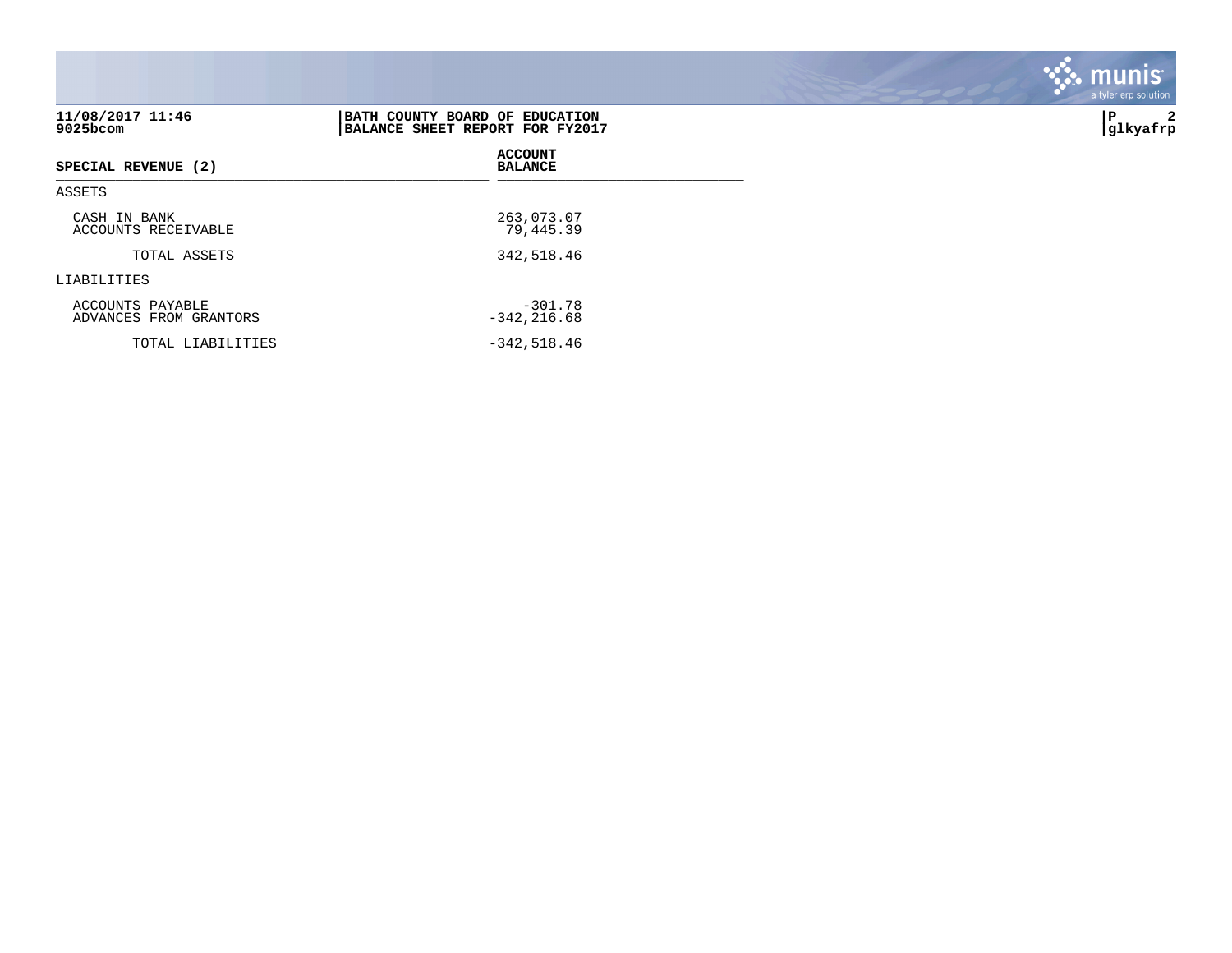| 11/08/2017 11:46<br>9025bcom               | BATH COUNTY BOARD OF EDUCATION<br>BALANCE SHEET REPORT FOR FY2017 | l P<br>2<br> glkyafrp |
|--------------------------------------------|-------------------------------------------------------------------|-----------------------|
| SPECIAL REVENUE (2)                        | <b>ACCOUNT</b><br><b>BALANCE</b>                                  |                       |
| ASSETS                                     |                                                                   |                       |
| CASH IN BANK<br>ACCOUNTS RECEIVABLE        | 263,073.07<br>79,445.39                                           |                       |
| TOTAL ASSETS                               | 342,518.46                                                        |                       |
| LIABILITIES                                |                                                                   |                       |
| ACCOUNTS PAYABLE<br>ADVANCES FROM GRANTORS | $-301.78$<br>$-342, 216.68$                                       |                       |
| TOTAL LIABILITIES                          | $-342,518.46$                                                     |                       |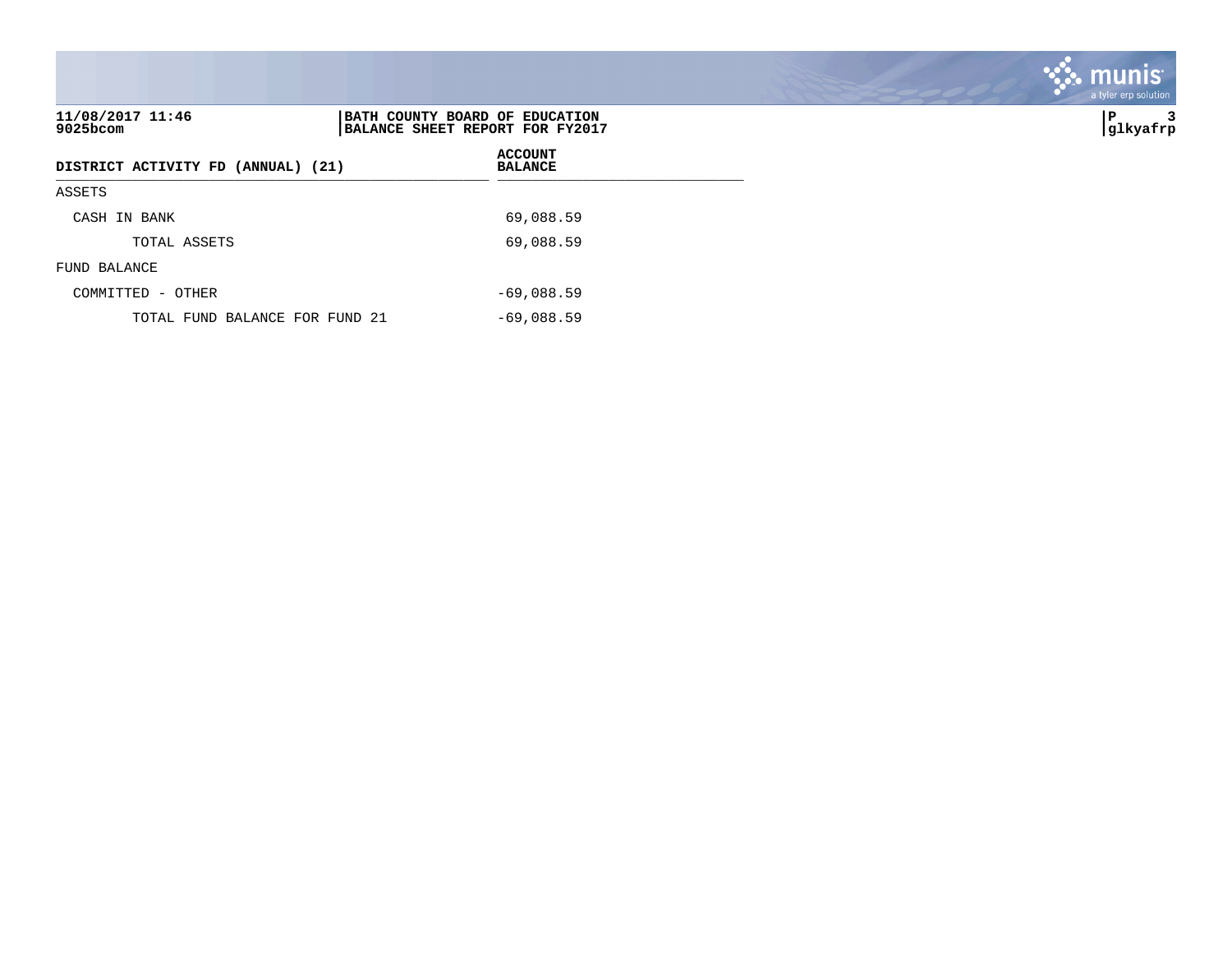| 11/08/2017 11:46<br>9025bcom       | BATH COUNTY BOARD OF EDUCATION<br>BALANCE SHEET REPORT FOR FY2017 | ∣P<br> glkyafrp |
|------------------------------------|-------------------------------------------------------------------|-----------------|
| DISTRICT ACTIVITY FD (ANNUAL) (21) | <b>ACCOUNT</b><br><b>BALANCE</b>                                  |                 |
| ASSETS                             |                                                                   |                 |
| CASH IN BANK                       | 69,088.59                                                         |                 |
| TOTAL ASSETS                       | 69,088.59                                                         |                 |
| FUND BALANCE                       |                                                                   |                 |
| COMMITTED - OTHER                  | $-69,088.59$                                                      |                 |
| TOTAL FUND BALANCE FOR FUND 21     | $-69,088.59$                                                      |                 |

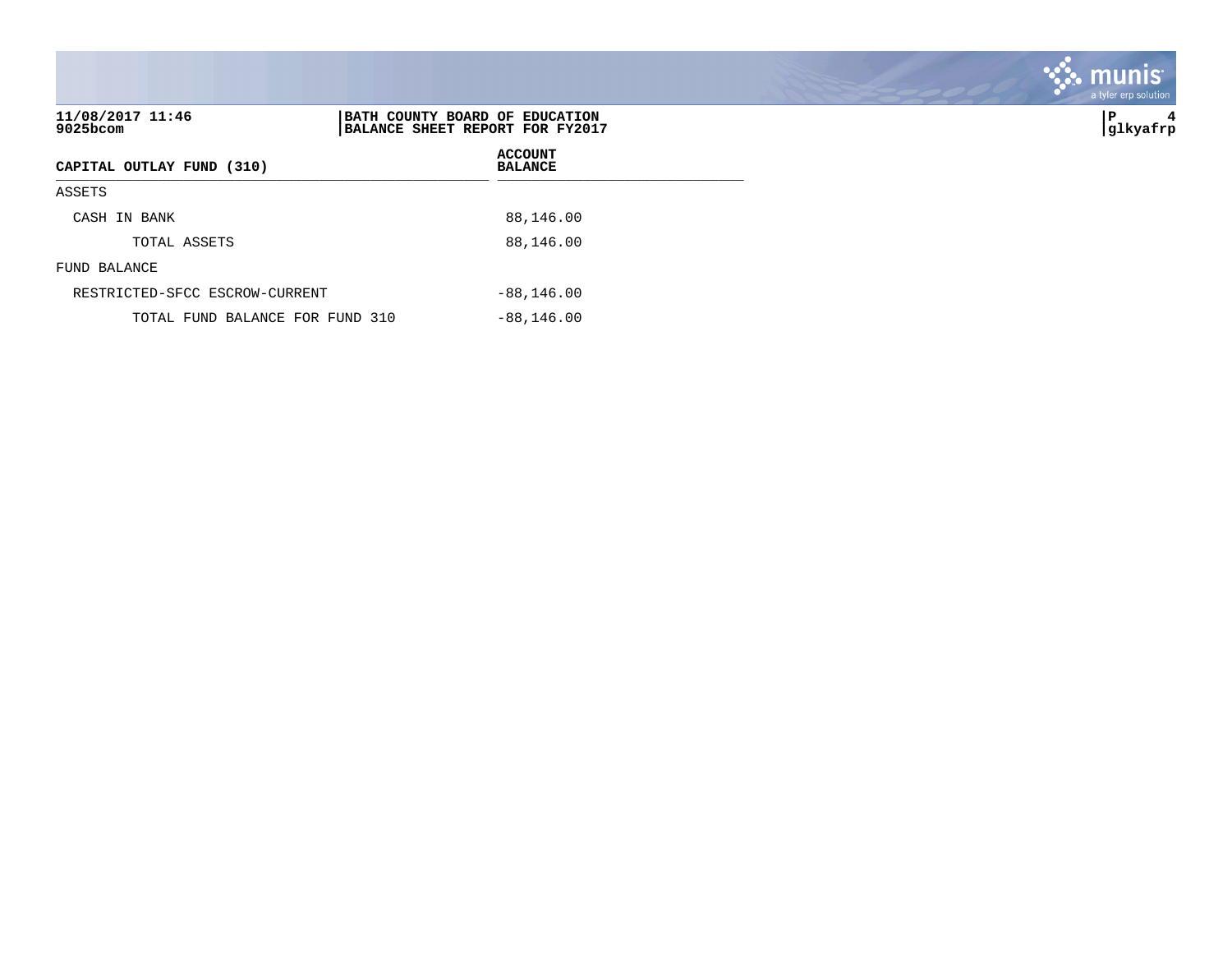| 11/08/2017 11:46<br>9025bcom    | BATH COUNTY BOARD OF EDUCATION<br>BALANCE SHEET REPORT FOR FY2017 | ∣P<br>4<br> glkyafrp |
|---------------------------------|-------------------------------------------------------------------|----------------------|
| CAPITAL OUTLAY FUND (310)       | <b>ACCOUNT</b><br><b>BALANCE</b>                                  |                      |
| ASSETS                          |                                                                   |                      |
| CASH IN BANK                    | 88,146.00                                                         |                      |
| TOTAL ASSETS                    | 88,146.00                                                         |                      |
| FUND BALANCE                    |                                                                   |                      |
| RESTRICTED-SFCC ESCROW-CURRENT  | $-88, 146.00$                                                     |                      |
| TOTAL FUND BALANCE FOR FUND 310 | $-88, 146.00$                                                     |                      |

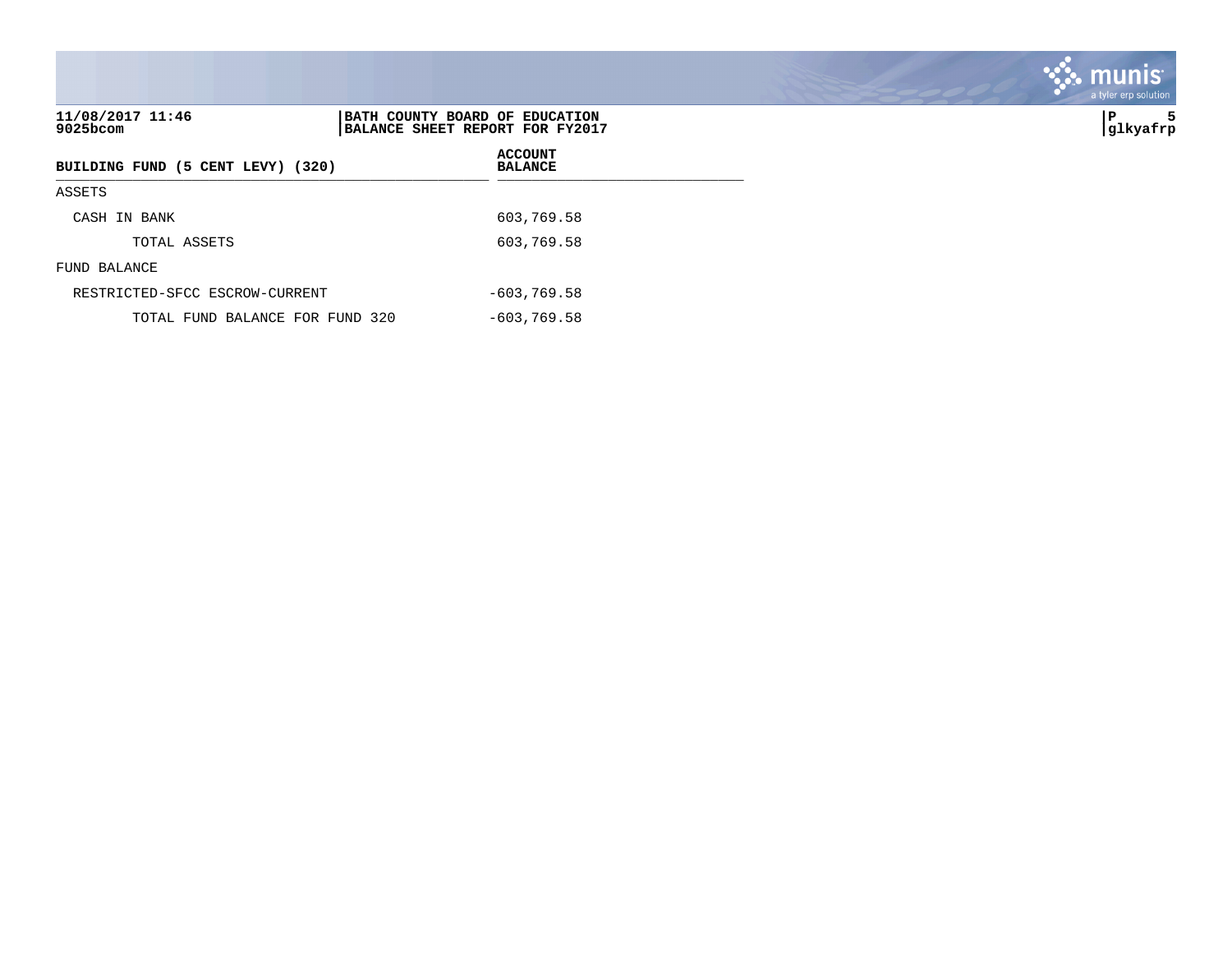| 11/08/2017 11:46<br>$9025$ bcom   | BATH COUNTY BOARD OF EDUCATION<br>BALANCE SHEET REPORT FOR FY2017 | ∣P<br> glkyafrp |
|-----------------------------------|-------------------------------------------------------------------|-----------------|
| BUILDING FUND (5 CENT LEVY) (320) | <b>ACCOUNT</b><br><b>BALANCE</b>                                  |                 |
| ASSETS                            |                                                                   |                 |
| CASH IN BANK                      | 603,769.58                                                        |                 |
| TOTAL ASSETS                      | 603,769.58                                                        |                 |
| FUND BALANCE                      |                                                                   |                 |
| RESTRICTED-SFCC ESCROW-CURRENT    | $-603,769.58$                                                     |                 |
| TOTAL FUND BALANCE FOR FUND 320   | $-603,769.58$                                                     |                 |

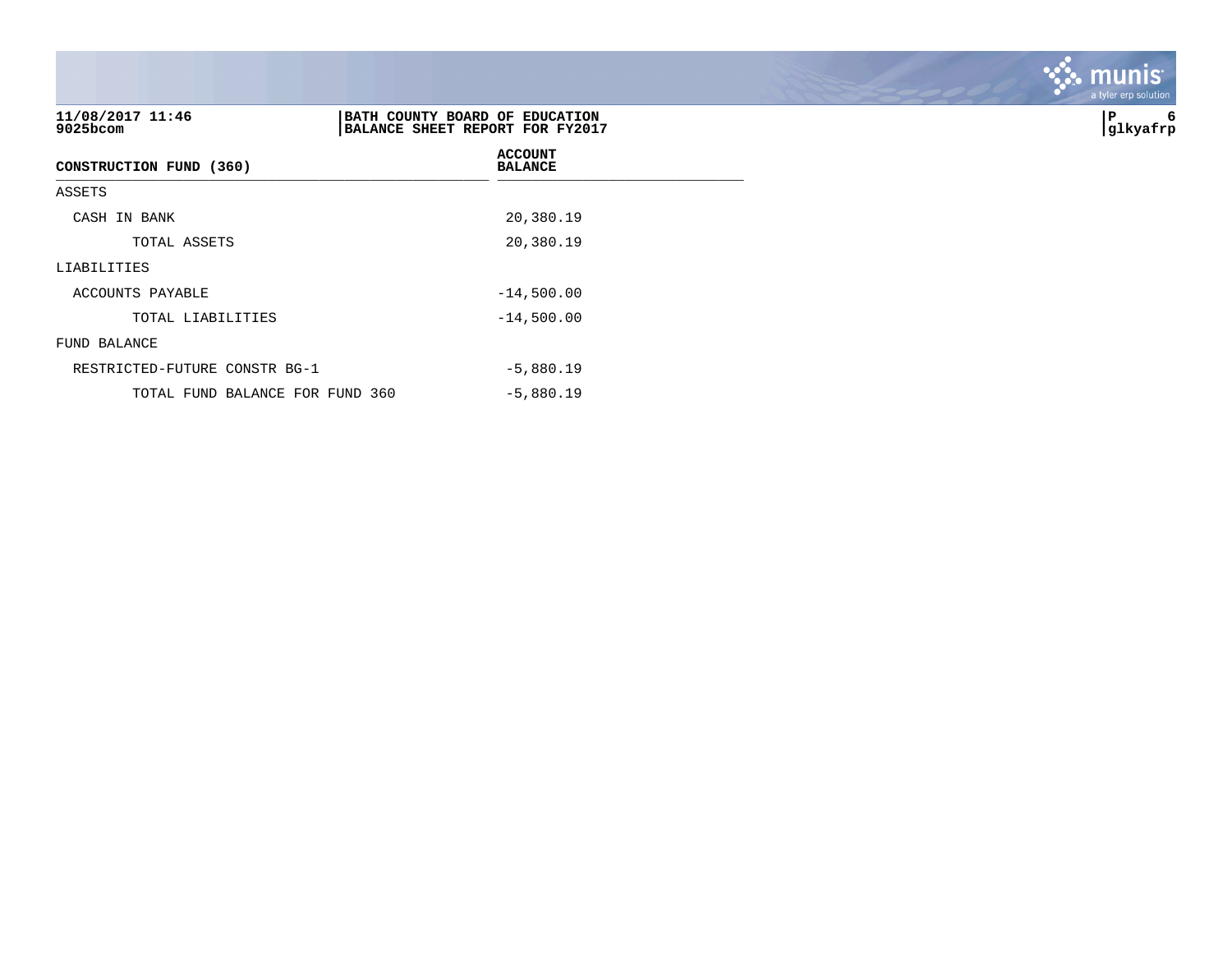| 11/08/2017 11:46<br>9025bcom    | BATH COUNTY BOARD OF EDUCATION<br>BALANCE SHEET REPORT FOR FY2017 | P<br>6<br> glkyafrp |
|---------------------------------|-------------------------------------------------------------------|---------------------|
| CONSTRUCTION FUND (360)         | <b>ACCOUNT</b><br><b>BALANCE</b>                                  |                     |
| ASSETS                          |                                                                   |                     |
| CASH IN BANK                    | 20,380.19                                                         |                     |
| TOTAL ASSETS                    | 20,380.19                                                         |                     |
| LIABILITIES                     |                                                                   |                     |
| ACCOUNTS PAYABLE                | $-14,500.00$                                                      |                     |
| TOTAL LIABILITIES               | $-14,500.00$                                                      |                     |
| FUND BALANCE                    |                                                                   |                     |
| RESTRICTED-FUTURE CONSTR BG-1   | $-5,880.19$                                                       |                     |
| TOTAL FUND BALANCE FOR FUND 360 | $-5,880.19$                                                       |                     |

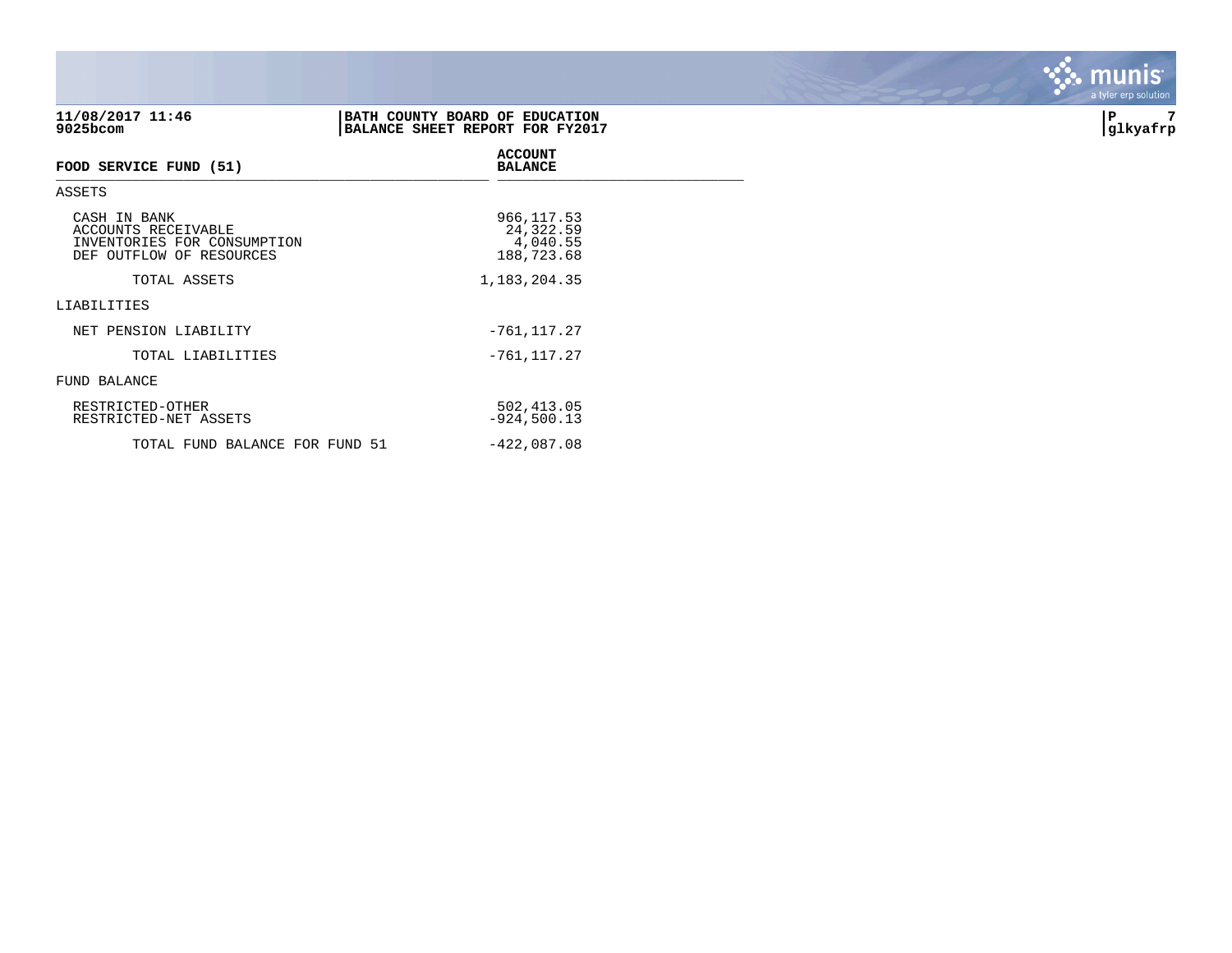| 11/08/2017 11:46<br>9025bcom                                                                   | BATH COUNTY BOARD OF EDUCATION<br>BALANCE SHEET REPORT FOR FY2017 | 7<br>∣P<br> glkyafrp |
|------------------------------------------------------------------------------------------------|-------------------------------------------------------------------|----------------------|
| FOOD SERVICE FUND (51)                                                                         | <b>ACCOUNT</b><br><b>BALANCE</b>                                  |                      |
| ASSETS                                                                                         |                                                                   |                      |
| CASH IN BANK<br>ACCOUNTS RECEIVABLE<br>INVENTORIES FOR CONSUMPTION<br>DEF OUTFLOW OF RESOURCES | 966, 117.53<br>24,322.59<br>4,040.55<br>188,723.68                |                      |
| TOTAL ASSETS                                                                                   | 1,183,204.35                                                      |                      |
| LIABILITIES                                                                                    |                                                                   |                      |
| NET PENSION LIABILITY                                                                          | $-761, 117.27$                                                    |                      |
| TOTAL LIABILITIES                                                                              | $-761, 117.27$                                                    |                      |
| FUND BALANCE                                                                                   |                                                                   |                      |
| RESTRICTED-OTHER<br>RESTRICTED-NET ASSETS                                                      | 502, 413.05<br>$-924,500.13$                                      |                      |
| TOTAL FUND BALANCE FOR FUND 51                                                                 | $-422,087.08$                                                     |                      |

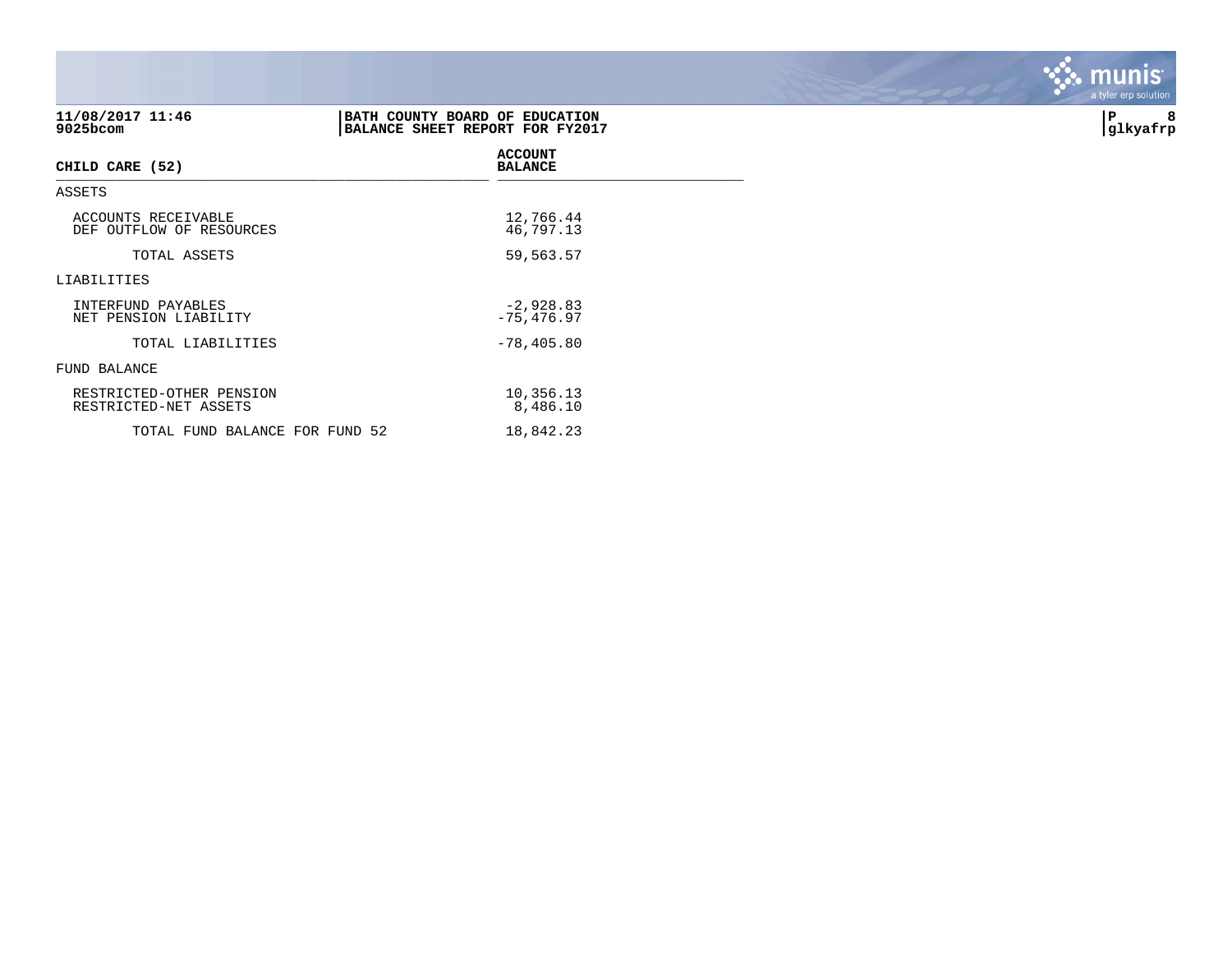| 11/08/2017 11:46<br>9025bcom                      | BATH COUNTY BOARD OF EDUCATION<br>BALANCE SHEET REPORT FOR FY2017 | 8<br>P<br> glkyafrp |
|---------------------------------------------------|-------------------------------------------------------------------|---------------------|
| CHILD CARE (52)                                   | <b>ACCOUNT</b><br><b>BALANCE</b>                                  |                     |
| ASSETS                                            |                                                                   |                     |
| ACCOUNTS RECEIVABLE<br>DEF OUTFLOW OF RESOURCES   | 12,766.44<br>46,797.13                                            |                     |
| TOTAL ASSETS                                      | 59,563.57                                                         |                     |
| LIABILITIES                                       |                                                                   |                     |
| INTERFUND PAYABLES<br>NET PENSION LIABILITY       | $-2,928.83$<br>$-75,476.97$                                       |                     |
| TOTAL LIABILITIES                                 | $-78,405.80$                                                      |                     |
| FUND BALANCE                                      |                                                                   |                     |
| RESTRICTED-OTHER PENSION<br>RESTRICTED-NET ASSETS | 10,356.13<br>8,486.10                                             |                     |
| TOTAL FUND BALANCE FOR FUND 52                    | 18,842.23                                                         |                     |

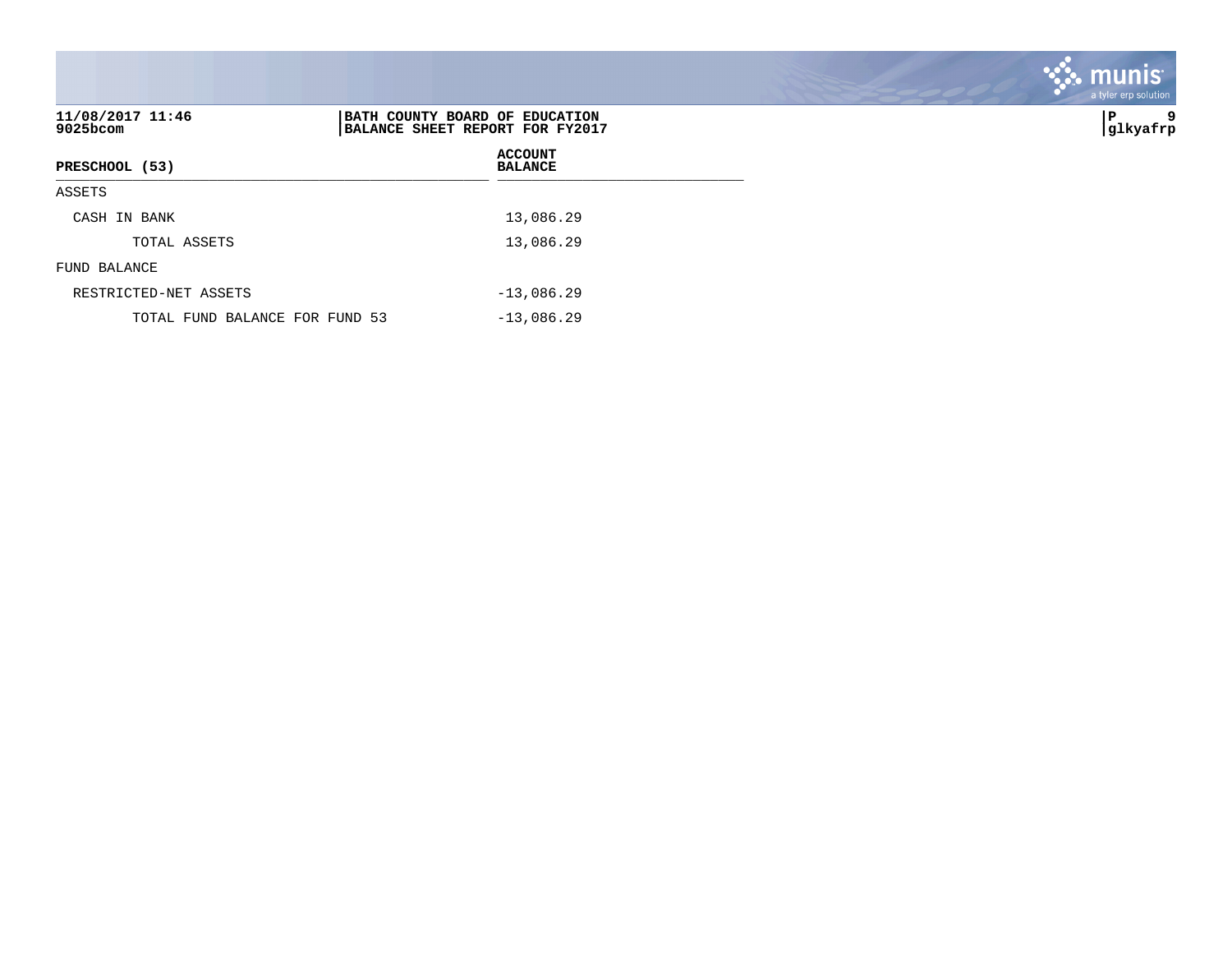|                                |                                                                   | munis <sup>.</sup><br>a tyler erp solution |
|--------------------------------|-------------------------------------------------------------------|--------------------------------------------|
| 11/08/2017 11:46<br>9025bcom   | BATH COUNTY BOARD OF EDUCATION<br>BALANCE SHEET REPORT FOR FY2017 | P<br>glkyafrp                              |
| PRESCHOOL (53)                 | <b>ACCOUNT</b><br><b>BALANCE</b>                                  |                                            |
| ASSETS                         |                                                                   |                                            |
| CASH IN BANK                   | 13,086.29                                                         |                                            |
| TOTAL ASSETS                   | 13,086.29                                                         |                                            |
| FUND BALANCE                   |                                                                   |                                            |
| RESTRICTED-NET ASSETS          | $-13,086.29$                                                      |                                            |
| TOTAL FUND BALANCE FOR FUND 53 | $-13,086.29$                                                      |                                            |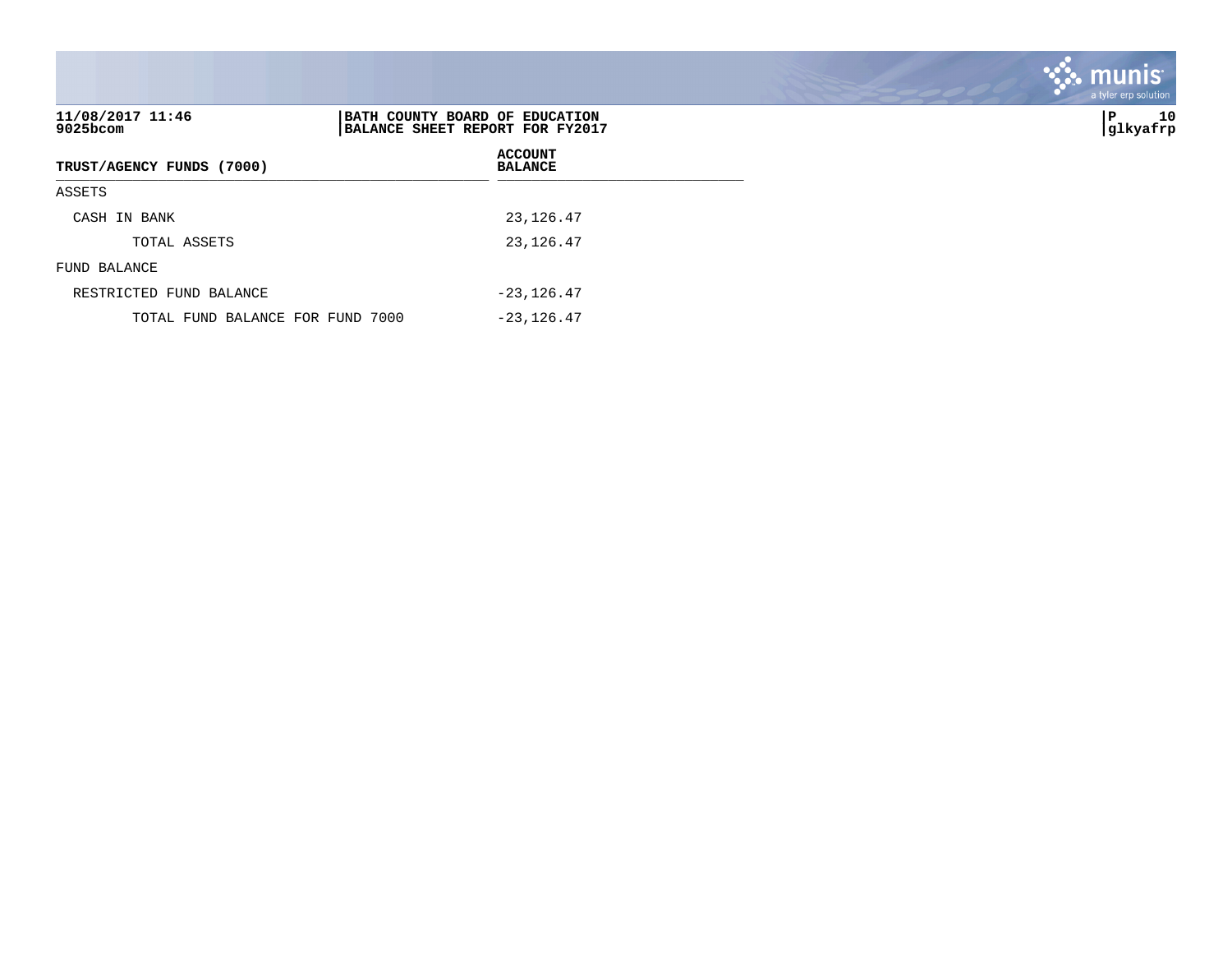| 11/08/2017 11:46<br>9025bcom     | BATH COUNTY BOARD OF EDUCATION<br>BALANCE SHEET REPORT FOR FY2017 | 10<br>P<br> glkyafrp |
|----------------------------------|-------------------------------------------------------------------|----------------------|
| TRUST/AGENCY FUNDS (7000)        | <b>ACCOUNT</b><br><b>BALANCE</b>                                  |                      |
| ASSETS                           |                                                                   |                      |
| CASH IN BANK                     | 23, 126.47                                                        |                      |
| TOTAL ASSETS                     | 23, 126.47                                                        |                      |
| FUND BALANCE                     |                                                                   |                      |
| RESTRICTED FUND BALANCE          | $-23, 126.47$                                                     |                      |
| TOTAL FUND BALANCE FOR FUND 7000 | $-23, 126.47$                                                     |                      |

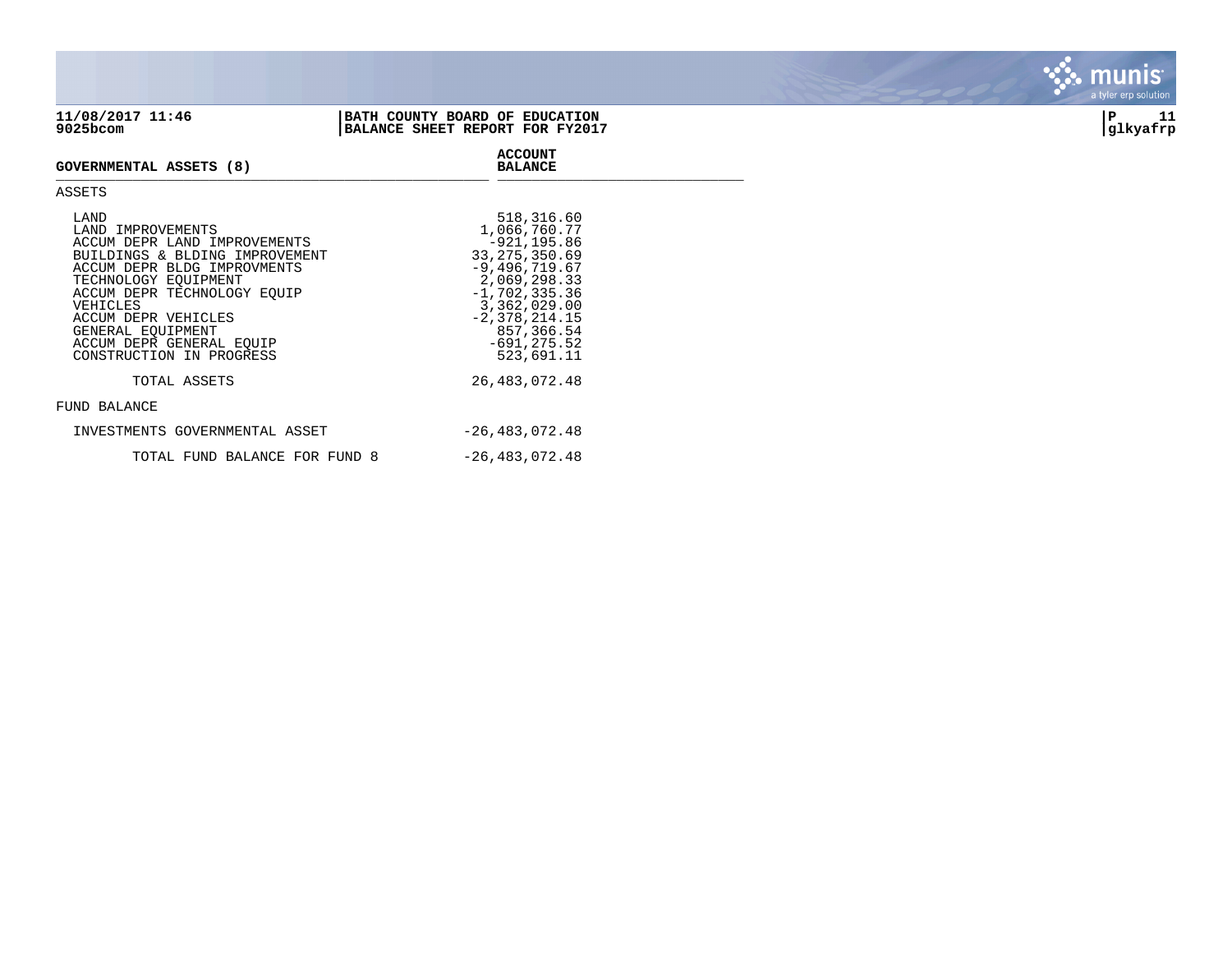**ACCOUNT**

## **GOVERNMENTAL ASSETS (8) BALANCE** \_\_\_\_\_\_\_\_\_\_\_\_\_\_\_\_\_\_\_\_\_\_\_\_\_\_\_\_\_\_\_\_\_\_\_\_\_\_\_\_\_\_\_\_\_\_\_\_\_\_\_ \_\_\_\_\_\_\_\_\_\_\_\_\_\_\_\_\_\_\_\_\_\_\_\_\_\_\_\_\_

## ASSETS

| LAND<br>LAND IMPROVEMENTS<br>ACCUM DEPR LAND IMPROVEMENTS<br>BUILDINGS & BLDING IMPROVEMENT<br>ACCUM DEPR BLDG IMPROVMENTS<br>TECHNOLOGY EOUIPMENT<br>ACCUM DEPR TECHNOLOGY EOUIP<br>VEHICLES<br>ACCUM DEPR VEHICLES<br>GENERAL EOUIPMENT | 518,316.60<br>1,066,760.77<br>$-921, 195.86$<br>33, 275, 350, 69<br>$-9,496,719.67$<br>2,069,298.33<br>$-1,702,335.36$<br>3,362,029.00<br>$-2,378,214.15$<br>857,366.54 |
|-------------------------------------------------------------------------------------------------------------------------------------------------------------------------------------------------------------------------------------------|-------------------------------------------------------------------------------------------------------------------------------------------------------------------------|
| ACCUM DEPR GENERAL EOUIP<br>CONSTRUCTION IN PROGRESS                                                                                                                                                                                      | $-691, 275.52$<br>523,691.11                                                                                                                                            |
| TOTAL ASSETS<br>FUND BALANCE                                                                                                                                                                                                              | 26, 483, 072. 48                                                                                                                                                        |
| INVESTMENTS GOVERNMENTAL ASSET                                                                                                                                                                                                            | $-26, 483, 072.48$                                                                                                                                                      |
| TOTAL FUND BALANCE FOR FUND 8                                                                                                                                                                                                             | $-26, 483, 072.48$                                                                                                                                                      |



munis

*<u>...</u>*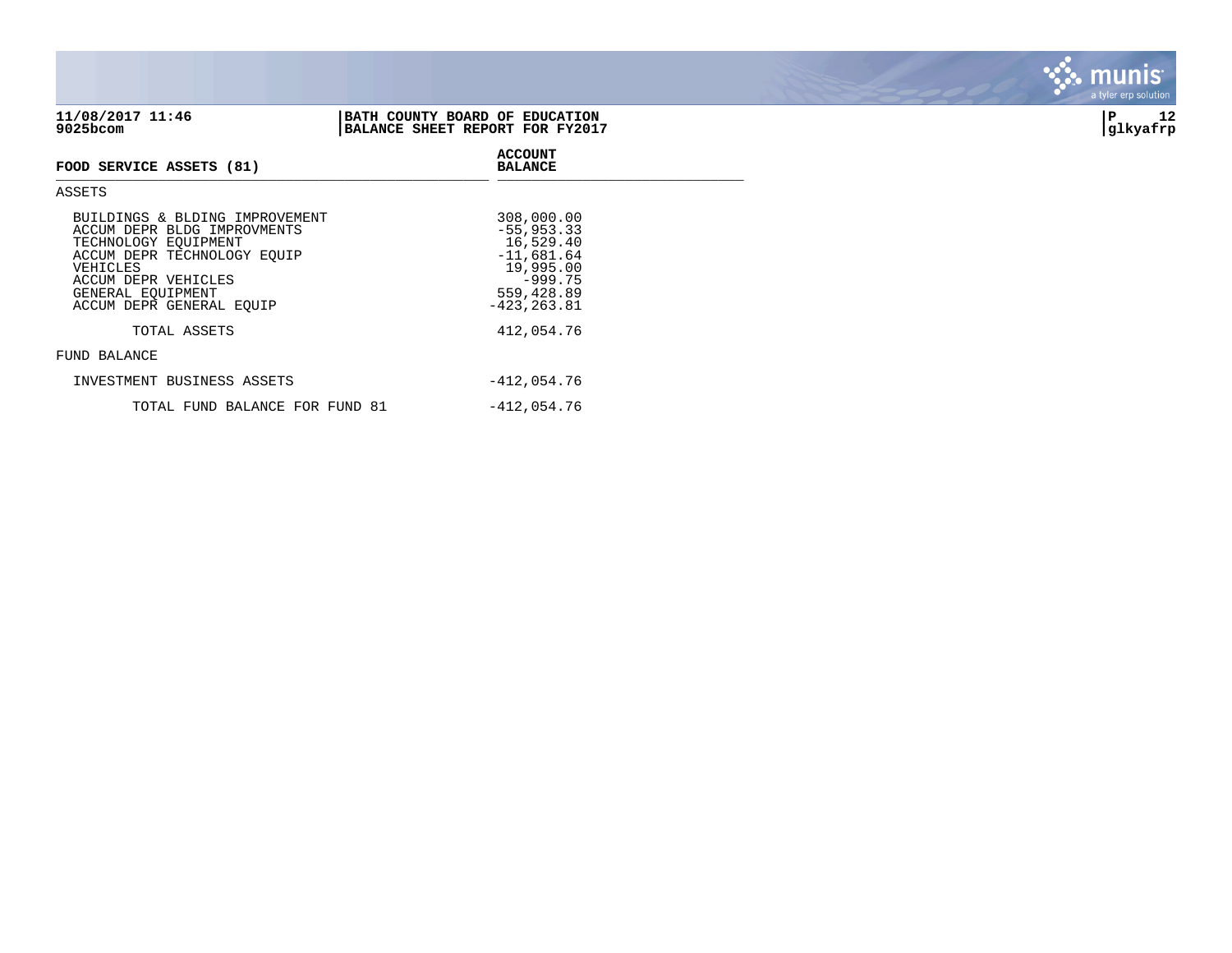| 9025bcom                                                                                                                                                                                                 | BALANCE SHEET REPORT FOR FY2017                                                                                   | glkyafrp |
|----------------------------------------------------------------------------------------------------------------------------------------------------------------------------------------------------------|-------------------------------------------------------------------------------------------------------------------|----------|
| FOOD SERVICE ASSETS (81)                                                                                                                                                                                 | <b>ACCOUNT</b><br><b>BALANCE</b>                                                                                  |          |
| ASSETS                                                                                                                                                                                                   |                                                                                                                   |          |
| BUILDINGS & BLDING IMPROVEMENT<br>ACCUM DEPR BLDG IMPROVMENTS<br>TECHNOLOGY EQUIPMENT<br>ACCUM DEPR TECHNOLOGY EOUIP<br>VEHICLES<br>ACCUM DEPR VEHICLES<br>GENERAL EQUIPMENT<br>ACCUM DEPR GENERAL EQUIP | 308,000.00<br>$-55,953.33$<br>16,529.40<br>$-11,681.64$<br>19,995.00<br>$-999.75$<br>559,428.89<br>$-423, 263.81$ |          |

TOTAL ASSETS 412,054.76

## FUND BALANCE

| INVESTMENT BUSINESS ASSETS     | -412,054.76   |
|--------------------------------|---------------|
| TOTAL FUND BALANCE FOR FUND 81 | $-412.054.76$ |



munis a tyler erp solution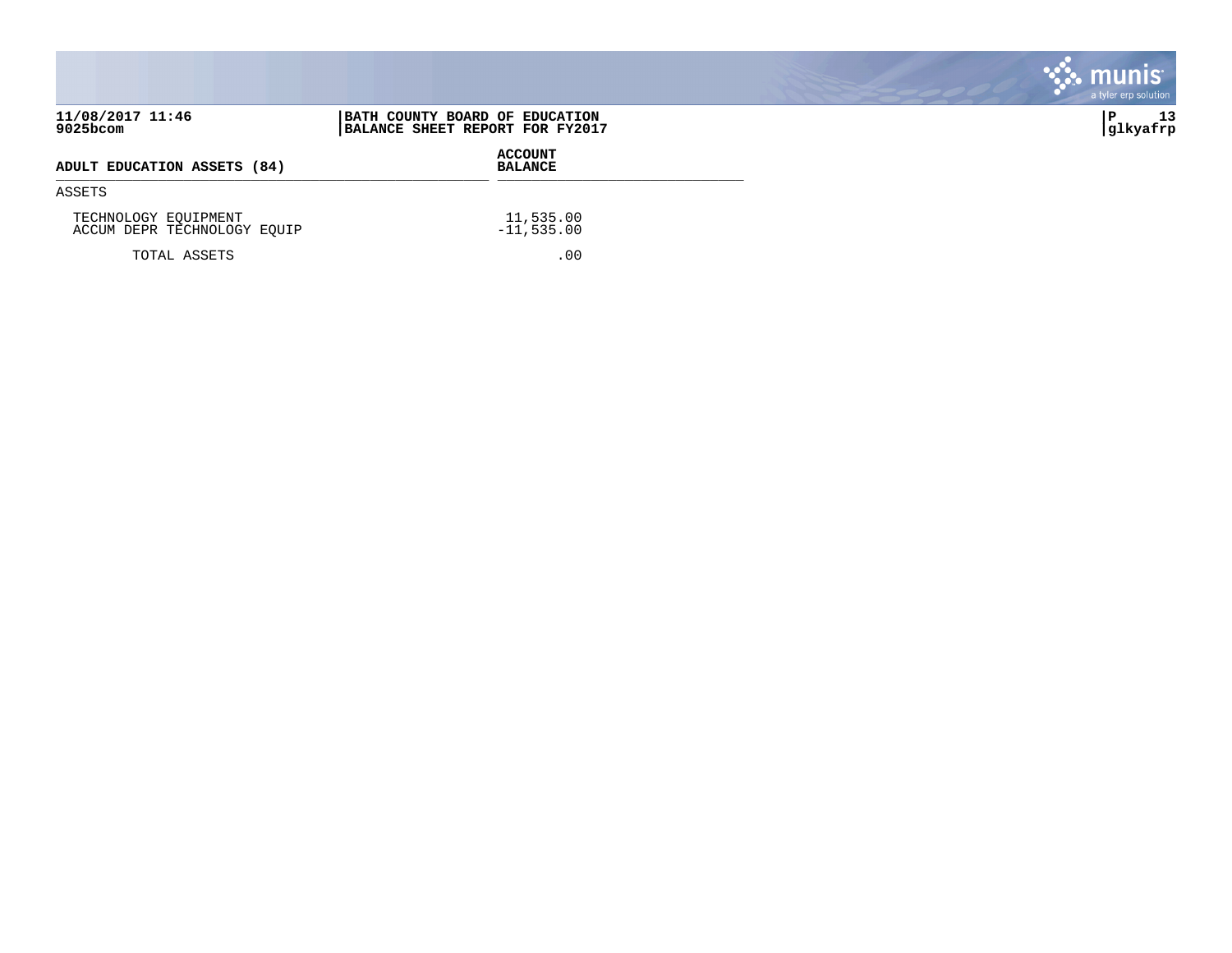|                                                     |                                                                   | <b>S. munis</b><br>a tyler erp solution |
|-----------------------------------------------------|-------------------------------------------------------------------|-----------------------------------------|
| 11/08/2017 11:46<br>9025bcom                        | BATH COUNTY BOARD OF EDUCATION<br>BALANCE SHEET REPORT FOR FY2017 | 13<br> glkyafrp                         |
| ADULT EDUCATION ASSETS (84)                         | <b>ACCOUNT</b><br><b>BALANCE</b>                                  |                                         |
| ASSETS                                              |                                                                   |                                         |
| TECHNOLOGY EQUIPMENT<br>ACCUM DEPR TECHNOLOGY EQUIP | 11,535.00<br>$-11,535.00$                                         |                                         |
| TOTAL ASSETS                                        | .00                                                               |                                         |

**COL** 

**Contract Contract Contract**